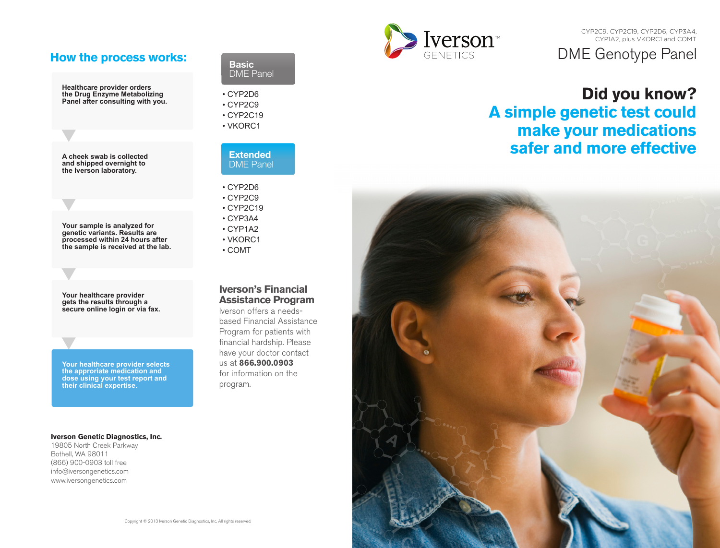# **How the process works:**

**Healthcare provider orders the Drug Enzyme Metabolizing Panel after consulting with you.**

**A cheek swab is collected and shipped overnight to the Iverson laboratory.**

**Your sample is analyzed for genetic variants. Results are processed within 24 hours after the sample is received at the lab.**

**Your healthcare provider gets the results through a secure online login or via fax.**

**Your healthcare provider selects the approriate medication and dose using your test report and their clinical expertise.**

#### **Iverson Genetic Diagnostics, Inc.**

19805 North Creek Parkway Bothell, WA 98011 (866) 900-0903 toll free info@iversongenetics.com www.iversongenetics.com

### **Basic**  DME Panel

- CYP2D6 • CYP2C9
- CYP2C19
- VKORC1



- CYP2D6
- CYP2C9 • CYP2C19
- CYP3A4
- CYP1A2
- VKORC1
- COMT

# **Iverson's Financial Assistance Program**

Iverson offers a needsbased Financial Assistance Program for patients with financial hardship. Please have your doctor contact us at **866.900.0903** for information on the program.



# DME Genotype Panel CYP2C9, CYP2C19, CYP2D6, CYP3A4, CYP1A2, plus VKORC1 and COMT

# **Did you know? A simple genetic test could make your medications safer and more effective**

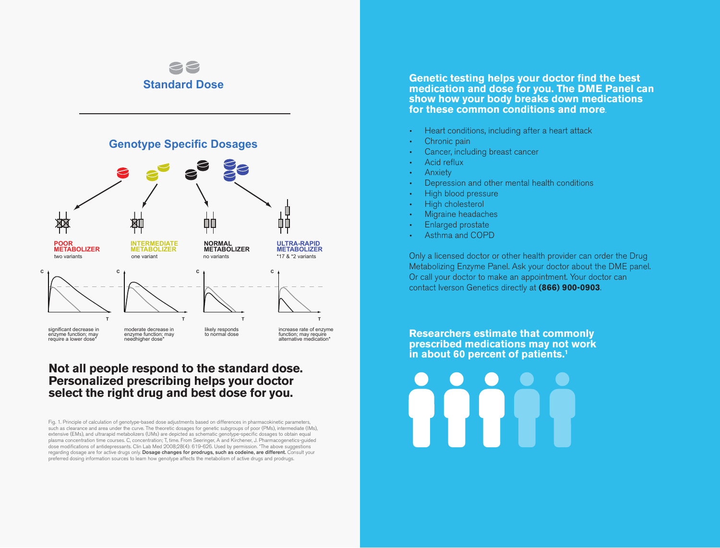

# **Not all people respond to the standard dose. Personalized prescribing helps your doctor select the right drug and best dose for you.**

Fig. 1. Principle of calculation of genotype-based dose adjustments based on differences in pharmacokinetic parameters, such as clearance and area under the curve. The theoretic dosages for genetic subgroups of poor (PMs), intermediate (IMs), extensive (EMs), and ultrarapid metabolizers (UMs) are depicted as schematic genotype-specific dosages to obtain equal plasma concentration time courses. C, concentration; T, time. From Seeringer, A and Kirchener, J. Pharmacogenetics-guided dose modifications of antidepressants. Clin Lab Med 2008;28(4): 619-626. Used by permission. \*The above suggestions regarding dosage are for active drugs only. Dosage changes for prodrugs, such as codeine, are different. Consult your preferred dosing information sources to learn how genotype affects the metabolism of active drugs and prodrugs.

**Genetic testing helps your doctor find the best medication and dose for you. The DME Panel can show how your body breaks down medications for these common conditions and more**.

- Heart conditions, including after a heart attack
- Chronic pain
- Cancer, including breast cancer
- Acid reflux
- **Anxiety**
- Depression and other mental health conditions
- High blood pressure
- High cholesterol
- Migraine headaches
- Enlarged prostate
- Asthma and COPD

Only a licensed doctor or other health provider can order the Drug Metabolizing Enzyme Panel. Ask your doctor about the DME panel. Or call your doctor to make an appointment. Your doctor can contact Iverson Genetics directly at **(866) 900-0903**.

**Researchers estimate that commonly prescribed medications may not work in about 60 percent of patients.1**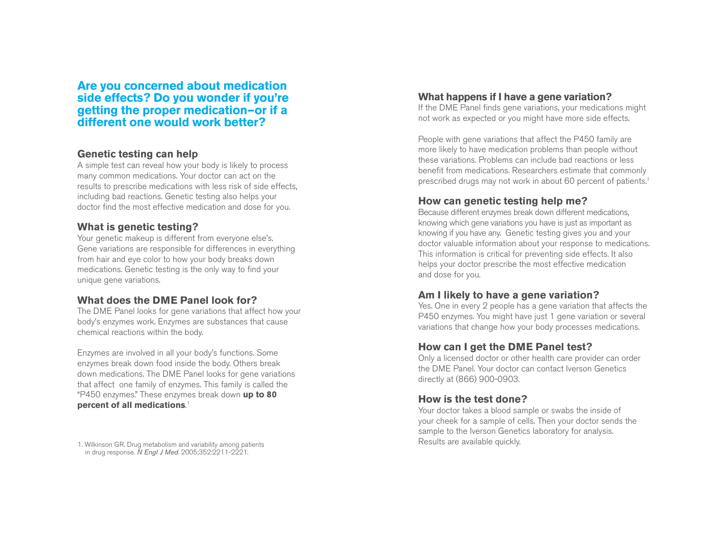**Are you concerned about medication side effects? Do you wonder if you're getting the proper medication—or if a different one would work better?**

# **Genetic testing can help**

A simple test can reveal how your body is likely to process many common medications. Your doctor can act on the results to prescribe medications with less risk of side effects, including bad reactions. Genetic testing also helps your doctor find the most effective medication and dose for you.

# **What is genetic testing?**

Your genetic makeup is different from everyone else's. Gene variations are responsible for differences in everything from hair and eye color to how your body breaks down medications. Genetic testing is the only way to find your unique gene variations.

# **What does the DME Panel look for?**

The DME Panel looks for gene variations that affect how your body's enzymes work. Enzymes are substances that cause chemical reactions within the body.

Enzymes are involved in all your body's functions. Some enzymes break down food inside the body. Others break down medications. The DME Panel looks for gene variations that affect one family of enzymes. This family is called the "P450 enzymes." These enzymes break down **up to 80 percent of all medications** 1 .

#### 1. Wilkinson GR. Drug metabolism and variability among patients in drug response. *N Engl J Med*. 2005;352:2211-2221.

### **What happens if I have a gene variation?**

If the DME Panel finds gene variations, your medications might not work as expected or you might have more side effects.

People with gene variations that affect the P450 family are more likely to have medication problems than people without these variations. Problems can include bad reactions or less benefit from medications. Researchers estimate that commonly prescribed drugs may not work in about 60 percent of patients. 1

# **How can genetic testing help me?**

Because different enzymes break down different medications, knowing which gene variations you have is just as important as knowing if you have any. Genetic testing gives you and your doctor valuable information about your response to medications. This information is critical for preventing side effects. It also helps your doctor prescribe the most effective medication and dose for you.

### **Am I likely to have a gene variation?**

Yes. One in every 2 people has a gene variation that affects the P450 enzymes. You might have just 1 gene variation or several variations that change how your body processes medications.

# **How can I get the DME Panel test?**

Only a licensed doctor or other health care provider can order the DME Panel. Your doctor can contact Iverson Genetics directly at (866) 900-0903.

# **How is the test done?**

Your doctor takes a blood sample or swabs the inside of your cheek for a sample of cells. Then your doctor sends the sample to the Iverson Genetics laboratory for analysis. Results are available quickly.